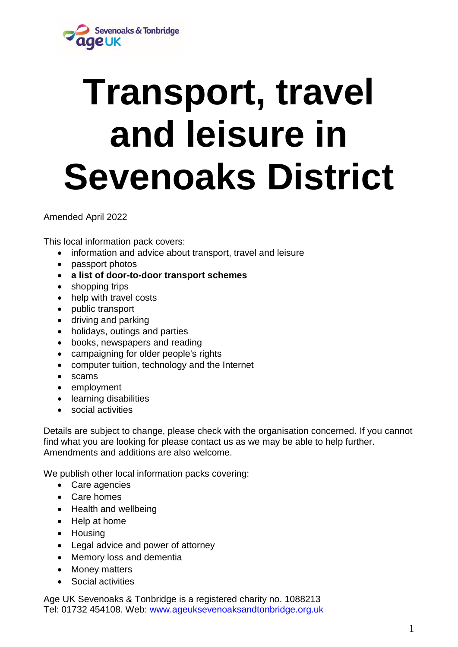

# **Transport, travel and leisure in Sevenoaks District**

Amended April 2022

This local information pack covers:

- information and advice about transport, travel and leisure
- passport photos
- **a list of door-to-door transport schemes**
- shopping trips
- help with travel costs
- public transport
- driving and parking
- holidays, outings and parties
- books, newspapers and reading
- campaigning for older people's rights
- computer tuition, technology and the Internet
- scams
- employment
- learning disabilities
- social activities

Details are subject to change, please check with the organisation concerned. If you cannot find what you are looking for please contact us as we may be able to help further. Amendments and additions are also welcome.

We publish other local information packs covering:

- Care agencies
- Care homes
- Health and wellbeing
- Help at home
- Housing
- Legal advice and power of attorney
- Memory loss and dementia
- Money matters
- Social activities

Age UK Sevenoaks & Tonbridge is a registered charity no. 1088213 Tel: 01732 454108. Web: [www.ageuksevenoaksandtonbridge.org.uk](http://www.ageuksevenoaksandtonbridge.org.uk/)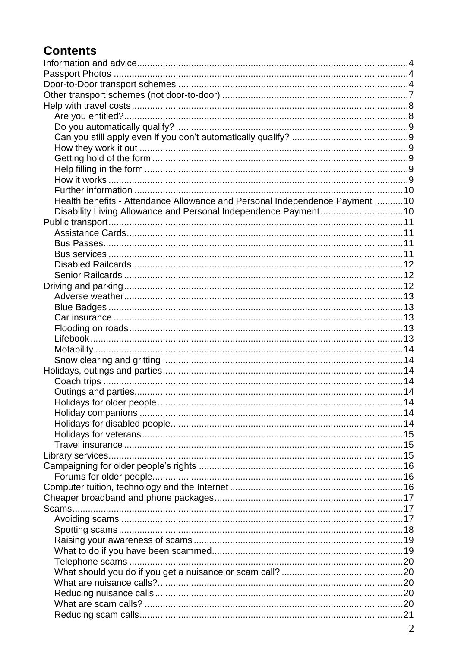# **Contents**

| Health benefits - Attendance Allowance and Personal Independence Payment 10 |  |
|-----------------------------------------------------------------------------|--|
| Disability Living Allowance and Personal Independence Payment 10            |  |
|                                                                             |  |
|                                                                             |  |
|                                                                             |  |
|                                                                             |  |
|                                                                             |  |
|                                                                             |  |
|                                                                             |  |
|                                                                             |  |
|                                                                             |  |
|                                                                             |  |
|                                                                             |  |
|                                                                             |  |
|                                                                             |  |
|                                                                             |  |
|                                                                             |  |
|                                                                             |  |
|                                                                             |  |
|                                                                             |  |
|                                                                             |  |
|                                                                             |  |
|                                                                             |  |
|                                                                             |  |
|                                                                             |  |
|                                                                             |  |
|                                                                             |  |
|                                                                             |  |
|                                                                             |  |
|                                                                             |  |
|                                                                             |  |
|                                                                             |  |
|                                                                             |  |
|                                                                             |  |
|                                                                             |  |
|                                                                             |  |
|                                                                             |  |
|                                                                             |  |
|                                                                             |  |
|                                                                             |  |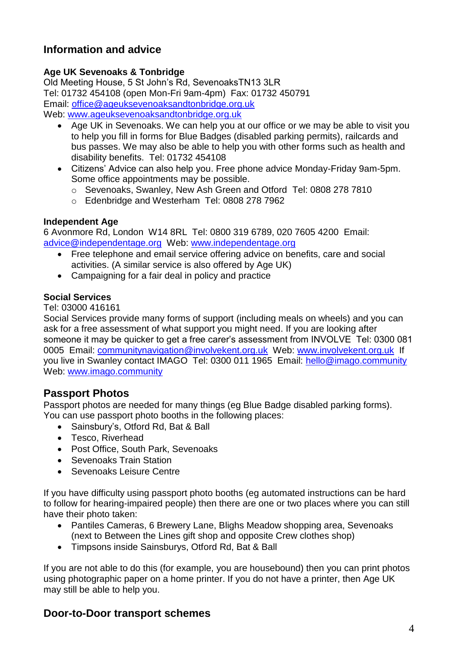# <span id="page-3-0"></span>**Information and advice**

## **Age UK Sevenoaks & Tonbridge**

Old Meeting House, 5 St John's Rd, SevenoaksTN13 3LR Tel: 01732 454108 (open Mon-Fri 9am-4pm) Fax: 01732 450791 Email: [office@ageuksevenoaksandtonbridge.org.uk](mailto:office@ageuksevenoaksandtonbridge.org.uk) Web: [www.ageuksevenoaksandtonbridge.org.uk](http://www.ageuksevenoaksandtonbridge.org.uk/)

- Age UK in Sevenoaks. We can help you at our office or we may be able to visit you to help you fill in forms for Blue Badges (disabled parking permits), railcards and bus passes. We may also be able to help you with other forms such as health and disability benefits. Tel: 01732 454108
- Citizens' Advice can also help you. Free phone advice Monday-Friday 9am-5pm. Some office appointments may be possible.
	- o Sevenoaks, Swanley, New Ash Green and Otford Tel: 0808 278 7810
	- o Edenbridge and Westerham Tel: 0808 278 7962

### **Independent Age**

6 Avonmore Rd, London W14 8RL Tel: 0800 319 6789, 020 7605 4200 Email: [advice@independentage.org](mailto:advice@independentage.org) Web: [www.independentage.org](http://www.independentage.org/)

- Free telephone and email service offering advice on benefits, care and social activities. (A similar service is also offered by Age UK)
- Campaigning for a fair deal in policy and practice

# **Social Services**

Tel: 03000 416161

Social Services provide many forms of support (including meals on wheels) and you can ask for a free assessment of what support you might need. If you are looking after someone it may be quicker to get a free carer's assessment from INVOLVE Tel: 0300 081 0005 Email: [communitynavigation@involvekent.org.uk](mailto:communitynavigation@involvekent.org.uk) Web: [www.involvekent.org.uk](http://www.involvekent.org.uk/) If you live in Swanley contact IMAGO Tel: 0300 011 1965 Email: [hello@imago.community](mailto:hello@imago.community)  Web: [www.imago.community](http://www.imago.community/)

# <span id="page-3-1"></span>**Passport Photos**

Passport photos are needed for many things (eg Blue Badge disabled parking forms). You can use passport photo booths in the following places:

- Sainsbury's, Otford Rd, Bat & Ball
- Tesco, Riverhead
- Post Office, South Park, Sevenoaks
- Sevenoaks Train Station
- Sevenoaks Leisure Centre

If you have difficulty using passport photo booths (eg automated instructions can be hard to follow for hearing-impaired people) then there are one or two places where you can still have their photo taken:

- Pantiles Cameras, 6 Brewery Lane, Blighs Meadow shopping area, Sevenoaks (next to Between the Lines gift shop and opposite Crew clothes shop)
- Timpsons inside Sainsburys, Otford Rd, Bat & Ball

If you are not able to do this (for example, you are housebound) then you can print photos using photographic paper on a home printer. If you do not have a printer, then Age UK may still be able to help you.

# <span id="page-3-2"></span>**Door-to-Door transport schemes**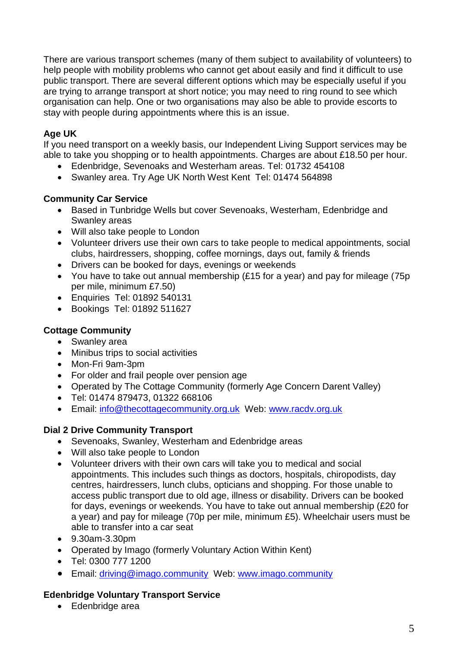There are various transport schemes (many of them subject to availability of volunteers) to help people with mobility problems who cannot get about easily and find it difficult to use public transport. There are several different options which may be especially useful if you are trying to arrange transport at short notice; you may need to ring round to see which organisation can help. One or two organisations may also be able to provide escorts to stay with people during appointments where this is an issue.

### **Age UK**

If you need transport on a weekly basis, our Independent Living Support services may be able to take you shopping or to health appointments. Charges are about £18.50 per hour.

- Edenbridge, Sevenoaks and Westerham areas. Tel: 01732 454108
- Swanley area. Try Age UK North West Kent Tel: 01474 564898

#### **Community Car Service**

- Based in Tunbridge Wells but cover Sevenoaks, Westerham, Edenbridge and Swanley areas
- Will also take people to London
- Volunteer drivers use their own cars to take people to medical appointments, social clubs, hairdressers, shopping, coffee mornings, days out, family & friends
- Drivers can be booked for days, evenings or weekends
- You have to take out annual membership (£15 for a year) and pay for mileage (75p per mile, minimum £7.50)
- Enquiries Tel: 01892 540131
- Bookings Tel: 01892 511627

#### **Cottage Community**

- Swanley area
- Minibus trips to social activities
- Mon-Fri 9am-3pm
- For older and frail people over pension age
- Operated by The Cottage Community (formerly Age Concern Darent Valley)
- Tel: 01474 879473, 01322 668106
- Email: [info@thecottagecommunity.org.uk](mailto:info@thecottagecommunity.org.uk) Web: [www.racdv.org.uk](http://www.racdv.org.uk/)

#### **Dial 2 Drive Community Transport**

- Sevenoaks, Swanley, Westerham and Edenbridge areas
- Will also take people to London
- Volunteer drivers with their own cars will take you to medical and social appointments. This includes such things as doctors, hospitals, chiropodists, day centres, hairdressers, lunch clubs, opticians and shopping. For those unable to access public transport due to old age, illness or disability. Drivers can be booked for days, evenings or weekends. You have to take out annual membership (£20 for a year) and pay for mileage (70p per mile, minimum £5). Wheelchair users must be able to transfer into a car seat
- 9.30am-3.30pm
- Operated by Imago (formerly Voluntary Action Within Kent)
- Tel: 0300 777 1200
- Email: [driving@imago.community](mailto:driving@imago.community)Web: www.imago.community

#### **Edenbridge Voluntary Transport Service**

Edenbridge area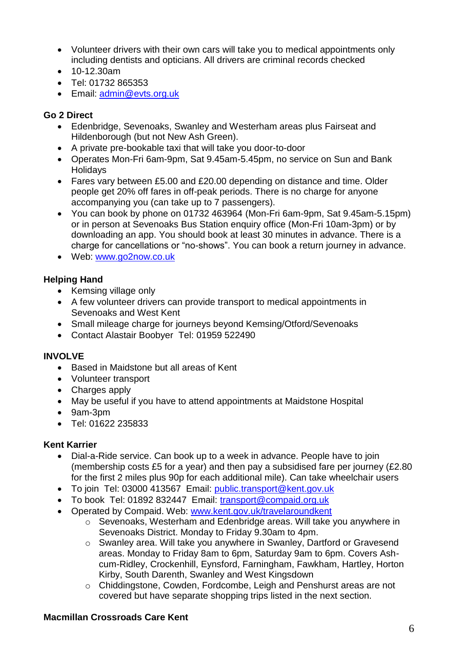- Volunteer drivers with their own cars will take you to medical appointments only including dentists and opticians. All drivers are criminal records checked
- 10-12.30am
- Tel: 01732 865353
- **Email: [admin@evts.org.uk](mailto:admin@evts.org.uk)**

#### **Go 2 Direct**

- Edenbridge, Sevenoaks, Swanley and Westerham areas plus Fairseat and Hildenborough (but not New Ash Green).
- A private pre-bookable taxi that will take you door-to-door
- Operates Mon-Fri 6am-9pm, Sat 9.45am-5.45pm, no service on Sun and Bank Holidays
- Fares vary between £5.00 and £20.00 depending on distance and time. Older people get 20% off fares in off-peak periods. There is no charge for anyone accompanying you (can take up to 7 passengers).
- You can book by phone on 01732 463964 (Mon-Fri 6am-9pm, Sat 9.45am-5.15pm) or in person at Sevenoaks Bus Station enquiry office (Mon-Fri 10am-3pm) or by downloading an app. You should book at least 30 minutes in advance. There is a charge for cancellations or "no-shows". You can book a return journey in advance.
- Web: [www.go2now.co.uk](http://www.go2now.co.uk/)

### **Helping Hand**

- Kemsing village only
- A few volunteer drivers can provide transport to medical appointments in Sevenoaks and West Kent
- Small mileage charge for journeys beyond Kemsing/Otford/Sevenoaks
- Contact Alastair Boobyer Tel: 01959 522490

#### **INVOLVE**

- Based in Maidstone but all areas of Kent
- Volunteer transport
- Charges apply
- May be useful if you have to attend appointments at Maidstone Hospital
- 9am-3pm
- Tel: 01622 235833

#### **Kent Karrier**

- Dial-a-Ride service. Can book up to a week in advance. People have to join (membership costs £5 for a year) and then pay a subsidised fare per journey (£2.80 for the first 2 miles plus 90p for each additional mile). Can take wheelchair users
- To join Tel: 03000 413567 Email: public.transport@kent.gov.uk
- To book Tel: 01892 832447 Email: [transport@compaid.org.uk](mailto:transport@compaid.org.uk)
- Operated by Compaid. Web: www.kent.gov.uk/travelaroundkent
	- o Sevenoaks, Westerham and Edenbridge areas. Will take you anywhere in Sevenoaks District. Monday to Friday 9.30am to 4pm.
	- o Swanley area. Will take you anywhere in Swanley, Dartford or Gravesend areas. Monday to Friday 8am to 6pm, Saturday 9am to 6pm. Covers Ashcum-Ridley, Crockenhill, Eynsford, Farningham, Fawkham, Hartley, Horton Kirby, South Darenth, Swanley and West Kingsdown
	- o Chiddingstone, Cowden, Fordcombe, Leigh and Penshurst areas are not covered but have separate shopping trips listed in the next section.

#### **Macmillan Crossroads Care Kent**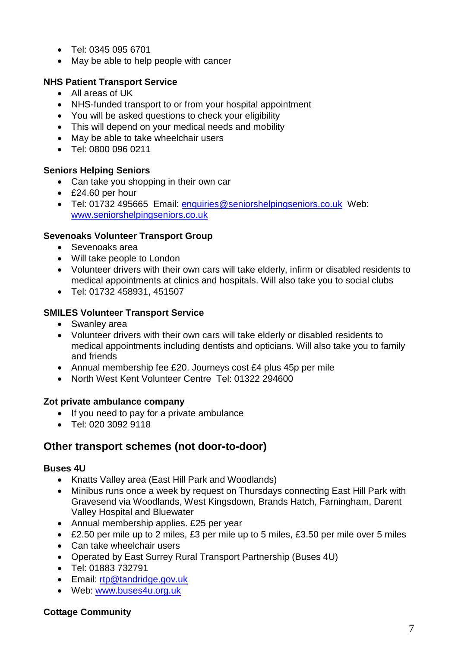- Tel: 0345 095 6701
- May be able to help people with cancer

## **NHS Patient Transport Service**

- All areas of UK
- NHS-funded transport to or from your hospital appointment
- You will be asked questions to check your eligibility
- This will depend on your medical needs and mobility
- May be able to take wheelchair users
- Tel: 0800 096 0211

# **Seniors Helping Seniors**

- Can take you shopping in their own car
- £24.60 per hour
- Tel: 01732 495665 Email: enquiries@seniorshelpingseniors.co.uk Web: www.seniorshelpingseniors.co.uk

#### **Sevenoaks Volunteer Transport Group**

- Sevenoaks area
- Will take people to London
- Volunteer drivers with their own cars will take elderly, infirm or disabled residents to medical appointments at clinics and hospitals. Will also take you to social clubs
- Tel: 01732 458931, 451507

#### **SMILES Volunteer Transport Service**

- Swanley area
- Volunteer drivers with their own cars will take elderly or disabled residents to medical appointments including dentists and opticians. Will also take you to family and friends
- Annual membership fee £20. Journeys cost £4 plus 45p per mile
- North West Kent Volunteer Centre Tel: 01322 294600

#### **Zot private ambulance company**

- If you need to pay for a private ambulance
- Tel: 020 3092 9118

# <span id="page-6-0"></span>**Other transport schemes (not door-to-door)**

#### **Buses 4U**

- Knatts Valley area (East Hill Park and Woodlands)
- Minibus runs once a week by request on Thursdays connecting East Hill Park with Gravesend via Woodlands, West Kingsdown, Brands Hatch, Farningham, Darent Valley Hospital and Bluewater
- Annual membership applies. £25 per year
- £2.50 per mile up to 2 miles, £3 per mile up to 5 miles, £3.50 per mile over 5 miles
- Can take wheelchair users
- Operated by East Surrey Rural Transport Partnership (Buses 4U)
- Tel: 01883 732791
- **Email: [rtp@tandridge.gov.uk](mailto:rtp@tandridge.gov.uk)**
- Web: www.buses4u.org.uk

#### **Cottage Community**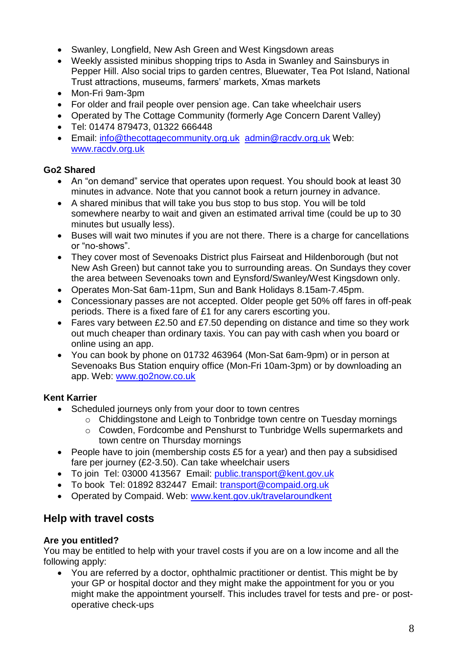- Swanley, Longfield, New Ash Green and West Kingsdown areas
- Weekly assisted minibus shopping trips to Asda in Swanley and Sainsburys in Pepper Hill. Also social trips to garden centres, Bluewater, Tea Pot Island, National Trust attractions, museums, farmers' markets, Xmas markets
- Mon-Fri 9am-3pm
- For older and frail people over pension age. Can take wheelchair users
- Operated by The Cottage Community (formerly Age Concern Darent Valley)
- Tel: 01474 879473, 01322 666448
- Email: [info@thecottagecommunity.org.uk](mailto:info@thecottagecommunity.org.uk) [admin@racdv.org.uk](mailto:admin@racdv.org.uk) Web: [www.racdv.org.uk](http://www.racdv.org.uk/)

# **Go2 Shared**

- An "on demand" service that operates upon request. You should book at least 30 minutes in advance. Note that you cannot book a return journey in advance.
- A shared minibus that will take you bus stop to bus stop. You will be told somewhere nearby to wait and given an estimated arrival time (could be up to 30 minutes but usually less).
- Buses will wait two minutes if you are not there. There is a charge for cancellations or "no-shows".
- They cover most of Sevenoaks District plus Fairseat and Hildenborough (but not New Ash Green) but cannot take you to surrounding areas. On Sundays they cover the area between Sevenoaks town and Eynsford/Swanley/West Kingsdown only.
- Operates Mon-Sat 6am-11pm, Sun and Bank Holidays 8.15am-7.45pm.
- Concessionary passes are not accepted. Older people get 50% off fares in off-peak periods. There is a fixed fare of £1 for any carers escorting you.
- Fares vary between £2.50 and £7.50 depending on distance and time so they work out much cheaper than ordinary taxis. You can pay with cash when you board or online using an app.
- You can book by phone on 01732 463964 (Mon-Sat 6am-9pm) or in person at Sevenoaks Bus Station enquiry office (Mon-Fri 10am-3pm) or by downloading an app. Web: [www.go2now.co.uk](http://www.go2now.co.uk/)

# **Kent Karrier**

- Scheduled journeys only from your door to town centres
	- o Chiddingstone and Leigh to Tonbridge town centre on Tuesday mornings
	- o Cowden, Fordcombe and Penshurst to Tunbridge Wells supermarkets and town centre on Thursday mornings
- People have to join (membership costs £5 for a year) and then pay a subsidised fare per journey (£2-3.50). Can take wheelchair users
- To join Tel: 03000 413567 Email: public.transport@kent.gov.uk
- To book Tel: 01892 832447 Email: [transport@compaid.org.uk](mailto:transport@compaid.org.uk)
- Operated by Compaid. Web: www.kent.gov.uk/travelaroundkent

# <span id="page-7-0"></span>**Help with travel costs**

# <span id="page-7-1"></span>**Are you entitled?**

You may be entitled to help with your travel costs if you are on a low income and all the following apply:

 You are referred by a doctor, ophthalmic practitioner or dentist. This might be by your GP or hospital doctor and they might make the appointment for you or you might make the appointment yourself. This includes travel for tests and pre- or postoperative check-ups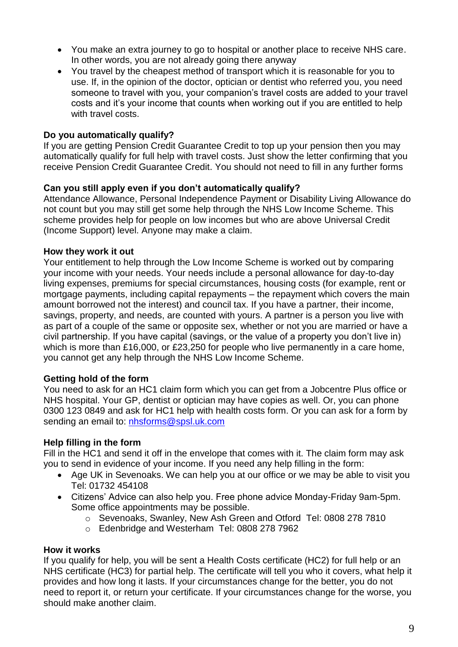- You make an extra journey to go to hospital or another place to receive NHS care. In other words, you are not already going there anyway
- You travel by the cheapest method of transport which it is reasonable for you to use. If, in the opinion of the doctor, optician or dentist who referred you, you need someone to travel with you, your companion's travel costs are added to your travel costs and it's your income that counts when working out if you are entitled to help with travel costs.

#### <span id="page-8-0"></span>**Do you automatically qualify?**

If you are getting Pension Credit Guarantee Credit to top up your pension then you may automatically qualify for full help with travel costs. Just show the letter confirming that you receive Pension Credit Guarantee Credit. You should not need to fill in any further forms

#### <span id="page-8-1"></span>**Can you still apply even if you don't automatically qualify?**

Attendance Allowance, Personal Independence Payment or Disability Living Allowance do not count but you may still get some help through the NHS Low Income Scheme. This scheme provides help for people on low incomes but who are above Universal Credit (Income Support) level. Anyone may make a claim.

#### <span id="page-8-2"></span>**How they work it out**

Your entitlement to help through the Low Income Scheme is worked out by comparing your income with your needs. Your needs include a personal allowance for day-to-day living expenses, premiums for special circumstances, housing costs (for example, rent or mortgage payments, including capital repayments – the repayment which covers the main amount borrowed not the interest) and council tax. If you have a partner, their income, savings, property, and needs, are counted with yours. A partner is a person you live with as part of a couple of the same or opposite sex, whether or not you are married or have a civil partnership. If you have capital (savings, or the value of a property you don't live in) which is more than £16,000, or £23,250 for people who live permanently in a care home, you cannot get any help through the NHS Low Income Scheme.

#### <span id="page-8-3"></span>**Getting hold of the form**

You need to ask for an HC1 claim form which you can get from a Jobcentre Plus office or NHS hospital. Your GP, dentist or optician may have copies as well. Or, you can phone 0300 123 0849 and ask for HC1 help with health costs form. Or you can ask for a form by sending an email to: [nhsforms@spsl.uk.com](mailto:nhsforms@spsl.uk.com)

#### <span id="page-8-4"></span>**Help filling in the form**

Fill in the HC1 and send it off in the envelope that comes with it. The claim form may ask you to send in evidence of your income. If you need any help filling in the form:

- Age UK in Sevenoaks. We can help you at our office or we may be able to visit you Tel: 01732 454108
- Citizens' Advice can also help you. Free phone advice Monday-Friday 9am-5pm. Some office appointments may be possible.
	- o Sevenoaks, Swanley, New Ash Green and Otford Tel: 0808 278 7810
	- o Edenbridge and Westerham Tel: 0808 278 7962

#### <span id="page-8-5"></span>**How it works**

If you qualify for help, you will be sent a Health Costs certificate (HC2) for full help or an NHS certificate (HC3) for partial help. The certificate will tell you who it covers, what help it provides and how long it lasts. If your circumstances change for the better, you do not need to report it, or return your certificate. If your circumstances change for the worse, you should make another claim.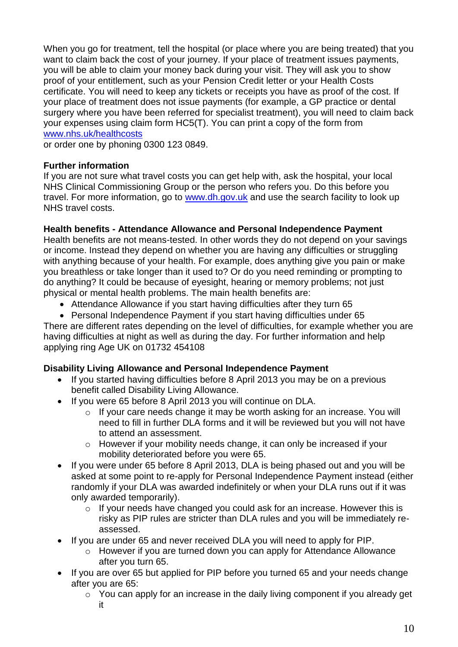When you go for treatment, tell the hospital (or place where you are being treated) that you want to claim back the cost of your journey. If your place of treatment issues payments, you will be able to claim your money back during your visit. They will ask you to show proof of your entitlement, such as your Pension Credit letter or your Health Costs certificate. You will need to keep any tickets or receipts you have as proof of the cost. If your place of treatment does not issue payments (for example, a GP practice or dental surgery where you have been referred for specialist treatment), you will need to claim back your expenses using claim form HC5(T). You can print a copy of the form from [www.nhs.uk/healthcosts](http://www.nhs.uk/healthcosts)

or order one by phoning 0300 123 0849.

#### <span id="page-9-0"></span>**Further information**

If you are not sure what travel costs you can get help with, ask the hospital, your local NHS Clinical Commissioning Group or the person who refers you. Do this before you travel. For more information, go to www.dh.gov.uk and use the search facility to look up NHS travel costs.

#### <span id="page-9-1"></span>**Health benefits - Attendance Allowance and Personal Independence Payment**

Health benefits are not means-tested. In other words they do not depend on your savings or income. Instead they depend on whether you are having any difficulties or struggling with anything because of your health. For example, does anything give you pain or make you breathless or take longer than it used to? Or do you need reminding or prompting to do anything? It could be because of eyesight, hearing or memory problems; not just physical or mental health problems. The main health benefits are:

- Attendance Allowance if you start having difficulties after they turn 65
- Personal Independence Payment if you start having difficulties under 65

There are different rates depending on the level of difficulties, for example whether you are having difficulties at night as well as during the day. For further information and help applying ring Age UK on 01732 454108

#### <span id="page-9-2"></span>**Disability Living Allowance and Personal Independence Payment**

- If you started having difficulties before 8 April 2013 you may be on a previous benefit called Disability Living Allowance.
- If you were 65 before 8 April 2013 you will continue on DLA.
	- o If your care needs change it may be worth asking for an increase. You will need to fill in further DLA forms and it will be reviewed but you will not have to attend an assessment.
	- o However if your mobility needs change, it can only be increased if your mobility deteriorated before you were 65.
- If you were under 65 before 8 April 2013, DLA is being phased out and you will be asked at some point to re-apply for Personal Independence Payment instead (either randomly if your DLA was awarded indefinitely or when your DLA runs out if it was only awarded temporarily).
	- o If your needs have changed you could ask for an increase. However this is risky as PIP rules are stricter than DLA rules and you will be immediately reassessed.
- If you are under 65 and never received DLA you will need to apply for PIP.
	- o However if you are turned down you can apply for Attendance Allowance after you turn 65.
- If you are over 65 but applied for PIP before you turned 65 and your needs change after you are 65:
	- o You can apply for an increase in the daily living component if you already get it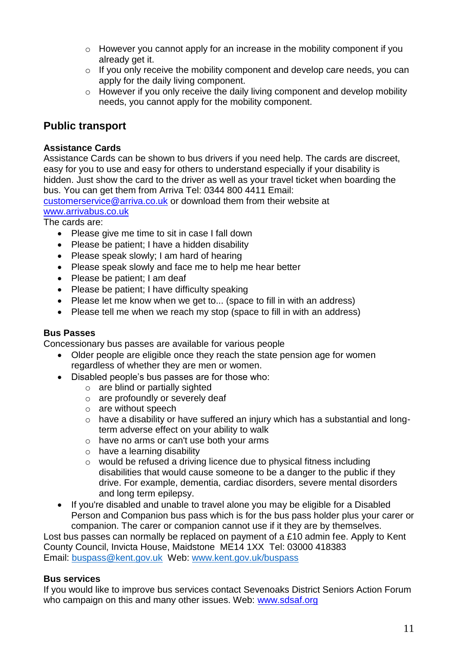- o However you cannot apply for an increase in the mobility component if you already get it.
- o If you only receive the mobility component and develop care needs, you can apply for the daily living component.
- o However if you only receive the daily living component and develop mobility needs, you cannot apply for the mobility component.

# <span id="page-10-0"></span>**Public transport**

### <span id="page-10-1"></span>**Assistance Cards**

Assistance Cards can be shown to bus drivers if you need help. The cards are discreet, easy for you to use and easy for others to understand especially if your disability is hidden. Just show the card to the driver as well as your travel ticket when boarding the bus. You can get them from Arriva Tel: 0344 800 4411 Email:

[customerservice@arriva.co.uk](mailto:customerservice@arriva.co.uk) or download them from their website at [www.arrivabus.co.uk](http://www.arrivabus.co.uk/)

The cards are:

- Please give me time to sit in case I fall down
- Please be patient; I have a hidden disability
- Please speak slowly; I am hard of hearing
- Please speak slowly and face me to help me hear better
- Please be patient; I am deaf
- Please be patient; I have difficulty speaking
- Please let me know when we get to... (space to fill in with an address)
- Please tell me when we reach my stop (space to fill in with an address)

#### <span id="page-10-2"></span>**Bus Passes**

Concessionary bus passes are available for various people

- Older people are eligible once they reach the state pension age for women regardless of whether they are men or women.
- Disabled people's bus passes are for those who:
	- o are blind or partially sighted
	- o are profoundly or severely deaf
	- o are without speech
	- o have a disability or have suffered an injury which has a substantial and longterm adverse effect on your ability to walk
	- o have no arms or can't use both your arms
	- o have a learning disability
	- o would be refused a driving licence due to physical fitness including disabilities that would cause someone to be a danger to the public if they drive. For example, dementia, cardiac disorders, severe mental disorders and long term epilepsy.
- If you're disabled and unable to travel alone you may be eligible for a Disabled Person and Companion bus pass which is for the bus pass holder plus your carer or companion. The carer or companion cannot use if it they are by themselves.

Lost bus passes can normally be replaced on payment of a £10 admin fee. Apply to Kent County Council, Invicta House, Maidstone ME14 1XX Tel: 03000 418383 Email: buspass@kent.gov.uk Web: [www.kent.gov.uk/buspass](http://www.kent.gov.uk/buspass)

#### <span id="page-10-3"></span>**Bus services**

If you would like to improve bus services contact Sevenoaks District Seniors Action Forum who campaign on this and many other issues. Web: www.sdsaf.org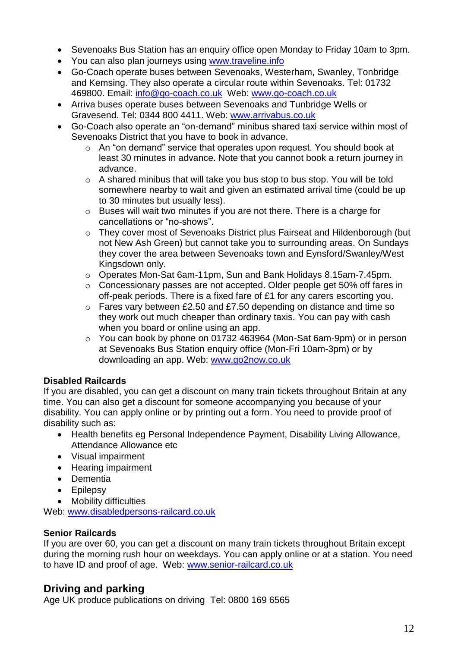- Sevenoaks Bus Station has an enquiry office open Monday to Friday 10am to 3pm.
- You can also plan journeys using [www.traveline.info](http://www.traveline.info/)
- Go-Coach operate buses between Sevenoaks, Westerham, Swanley, Tonbridge and Kemsing. They also operate a circular route within Sevenoaks. Tel: 01732 469800. Email: [info@go-coach.co.uk](mailto:info@go-coach.co.uk) Web: [www.go-coach.co.uk](http://www.go-coach.co.uk/)
- Arriva buses operate buses between Sevenoaks and Tunbridge Wells or Gravesend. Tel: 0344 800 4411. Web: [www.arrivabus.co.uk](http://www.arrivabus.co.uk/)
- Go-Coach also operate an "on-demand" minibus shared taxi service within most of Sevenoaks District that you have to book in advance.
	- o An "on demand" service that operates upon request. You should book at least 30 minutes in advance. Note that you cannot book a return journey in advance.
	- o A shared minibus that will take you bus stop to bus stop. You will be told somewhere nearby to wait and given an estimated arrival time (could be up to 30 minutes but usually less).
	- o Buses will wait two minutes if you are not there. There is a charge for cancellations or "no-shows".
	- o They cover most of Sevenoaks District plus Fairseat and Hildenborough (but not New Ash Green) but cannot take you to surrounding areas. On Sundays they cover the area between Sevenoaks town and Eynsford/Swanley/West Kingsdown only.
	- o Operates Mon-Sat 6am-11pm, Sun and Bank Holidays 8.15am-7.45pm.
	- o Concessionary passes are not accepted. Older people get 50% off fares in off-peak periods. There is a fixed fare of £1 for any carers escorting you.
	- o Fares vary between £2.50 and £7.50 depending on distance and time so they work out much cheaper than ordinary taxis. You can pay with cash when you board or online using an app.
	- o You can book by phone on 01732 463964 (Mon-Sat 6am-9pm) or in person at Sevenoaks Bus Station enquiry office (Mon-Fri 10am-3pm) or by downloading an app. Web: [www.go2now.co.uk](http://www.go2now.co.uk/)

# <span id="page-11-0"></span>**Disabled Railcards**

If you are disabled, you can get a discount on many train tickets throughout Britain at any time. You can also get a discount for someone accompanying you because of your disability. You can apply online or by printing out a form. You need to provide proof of disability such as:

- Health benefits eg Personal Independence Payment, Disability Living Allowance, Attendance Allowance etc
- Visual impairment
- Hearing impairment
- Dementia
- Epilepsy
- Mobility difficulties

Web: [www.disabledpersons-railcard.co.uk](http://www.disabledpersons-railcard.co.uk/)

# <span id="page-11-1"></span>**Senior Railcards**

If you are over 60, you can get a discount on many train tickets throughout Britain except during the morning rush hour on weekdays. You can apply online or at a station. You need to have ID and proof of age. Web: www.senior-railcard.co.uk

# <span id="page-11-2"></span>**Driving and parking**

Age UK produce publications on driving Tel: 0800 169 6565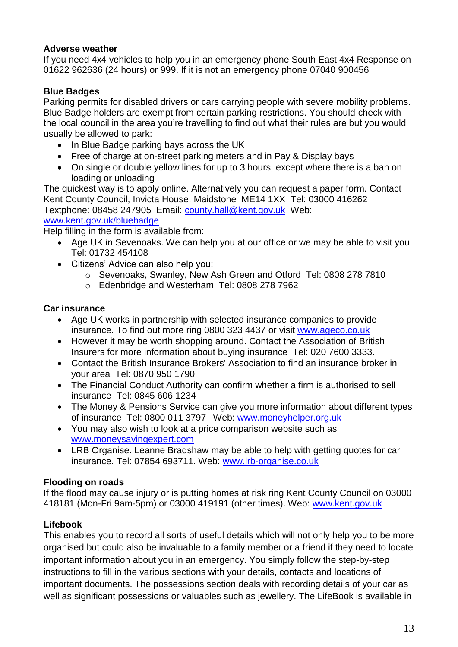#### <span id="page-12-0"></span>**Adverse weather**

If you need 4x4 vehicles to help you in an emergency phone South East 4x4 Response on 01622 962636 (24 hours) or 999. If it is not an emergency phone 07040 900456

# <span id="page-12-1"></span>**Blue Badges**

Parking permits for disabled drivers or cars carrying people with severe mobility problems. Blue Badge holders are exempt from certain parking restrictions. You should check with the local council in the area you're travelling to find out what their rules are but you would usually be allowed to park:

- In Blue Badge parking bays across the UK
- Free of charge at on-street parking meters and in Pay & Display bays
- On single or double yellow lines for up to 3 hours, except where there is a ban on loading or unloading

The quickest way is to apply online. Alternatively you can request a paper form. Contact Kent County Council, Invicta House, Maidstone ME14 1XX Tel: 03000 416262 Textphone: 08458 247905 Email: [county.hall@kent.gov.uk](mailto:county.hall@kent.gov.uk) Web:

#### [www.kent.gov.uk/bluebadge](http://www.kent.gov.uk/bluebadge)

Help filling in the form is available from:

- Age UK in Sevenoaks. We can help you at our office or we may be able to visit you Tel: 01732 454108
- Citizens' Advice can also help you:
	- o Sevenoaks, Swanley, New Ash Green and Otford Tel: 0808 278 7810
	- o Edenbridge and Westerham Tel: 0808 278 7962

### <span id="page-12-2"></span>**Car insurance**

- Age UK works in partnership with selected insurance companies to provide insurance. To find out more ring 0800 323 4437 or visit [www.ageco.co.uk](http://www.ageco.co.uk/)
- However it may be worth shopping around. Contact the Association of British Insurers for more information about buying insurance Tel: 020 7600 3333.
- Contact the British Insurance Brokers' Association to find an insurance broker in your area Tel: 0870 950 1790
- The Financial Conduct Authority can confirm whether a firm is authorised to sell insurance Tel: 0845 606 1234
- The Money & Pensions Service can give you more information about different types of insurance Tel: 0800 011 3797 Web: [www.moneyhelper.org.uk](http://www.moneyhelper.org.uk/)
- You may also wish to look at a price comparison website such as [www.moneysavingexpert.com](http://www.moneysavingexpert.com/)
- LRB Organise. Leanne Bradshaw may be able to help with getting quotes for car insurance. Tel: 07854 693711. Web: [www.lrb-organise.co.uk](http://www.lrb-organise.co.uk/)

# <span id="page-12-3"></span>**Flooding on roads**

If the flood may cause injury or is putting homes at risk ring Kent County Council on 03000 418181 (Mon-Fri 9am-5pm) or 03000 419191 (other times). Web: www.kent.gov.uk

# <span id="page-12-4"></span>**Lifebook**

This enables you to record all sorts of useful details which will not only help you to be more organised but could also be invaluable to a family member or a friend if they need to locate important information about you in an emergency. You simply follow the step-by-step instructions to fill in the various sections with your details, contacts and locations of important documents. The possessions section deals with recording details of your car as well as significant possessions or valuables such as jewellery. The LifeBook is available in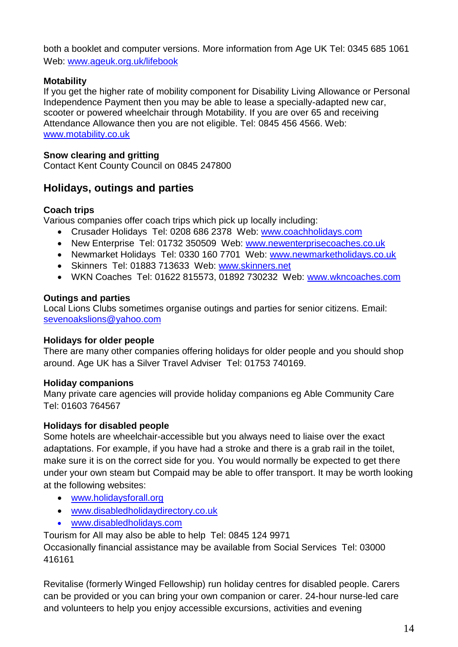both a booklet and computer versions. More information from Age UK Tel: 0345 685 1061 Web: www.ageuk.org.uk/lifebook

# <span id="page-13-0"></span>**Motability**

If you get the higher rate of mobility component for Disability Living Allowance or Personal Independence Payment then you may be able to lease a specially-adapted new car, scooter or powered wheelchair through Motability. If you are over 65 and receiving Attendance Allowance then you are not eligible. Tel: 0845 456 4566. Web: www.motability.co.uk

#### <span id="page-13-1"></span>**Snow clearing and gritting**

Contact Kent County Council on 0845 247800

# <span id="page-13-2"></span>**Holidays, outings and parties**

### <span id="page-13-3"></span>**Coach trips**

Various companies offer coach trips which pick up locally including:

- Crusader Holidays Tel: 0208 686 2378 Web: [www.coachholidays.com](http://www.coachholidays.com/)
- New Enterprise Tel: 01732 350509 Web: [www.newenterprisecoaches.co.uk](http://www.newenterprisecoaches.co.uk/)
- Newmarket Holidays Tel: 0330 160 7701 Web: [www.newmarketholidays.co.uk](http://www.newmarketholidays.co.uk/)
- Skinners Tel: 01883 713633 Web: [www.skinners.net](http://www.skinners.net/)
- WKN Coaches Tel: 01622 815573, 01892 730232 Web: [www.wkncoaches.com](http://www.wkncoaches.com/)

### <span id="page-13-4"></span>**Outings and parties**

Local Lions Clubs sometimes organise outings and parties for senior citizens. Email: [sevenoakslions@yahoo.com](mailto:sevenoakslions@yahoo.com)

# <span id="page-13-5"></span>**Holidays for older people**

There are many other companies offering holidays for older people and you should shop around. Age UK has a Silver Travel Adviser Tel: 01753 740169.

# <span id="page-13-6"></span>**Holiday companions**

Many private care agencies will provide holiday companions eg Able Community Care Tel: 01603 764567

#### <span id="page-13-7"></span>**Holidays for disabled people**

Some hotels are wheelchair-accessible but you always need to liaise over the exact adaptations. For example, if you have had a stroke and there is a grab rail in the toilet, make sure it is on the correct side for you. You would normally be expected to get there under your own steam but Compaid may be able to offer transport. It may be worth looking at the following websites:

- [www.holidaysforall.org](http://www.holidaysforall.org/)
- [www.disabledholidaydirectory.co.uk](http://www.disabledholidaydirectory.co.uk/)
- www.disabledholidays.com

Tourism for All may also be able to help Tel: 0845 124 9971

Occasionally financial assistance may be available from Social Services Tel: 03000 416161

Revitalise (formerly Winged Fellowship) run holiday centres for disabled people. Carers can be provided or you can bring your own companion or carer. 24-hour nurse-led care and volunteers to help you enjoy accessible excursions, activities and evening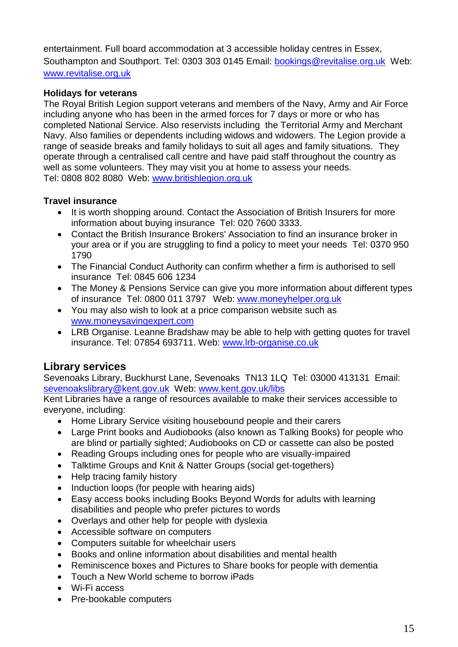entertainment. Full board accommodation at 3 accessible holiday centres in Essex, Southampton and Southport. Tel: 0303 303 0145 Email: [bookings@revitalise.org.uk](mailto:bookings@revitalise.org.uk) Web: [www.revitalise.org.uk](http://www.revitalise.org.uk/)

#### <span id="page-14-0"></span>**Holidays for veterans**

The Royal British Legion support veterans and members of the Navy, Army and Air Force including anyone who has been in the armed forces for 7 days or more or who has completed National Service. Also reservists including the Territorial Army and Merchant Navy. Also families or dependents including widows and widowers. The Legion provide a range of seaside breaks and family holidays to suit all ages and family situations. They operate through a centralised call centre and have paid staff throughout the country as well as some volunteers. They may visit you at home to assess your needs. Tel: 0808 802 8080 Web: [www.britishlegion.org.uk](http://www.britishlegion.org.uk/)

### <span id="page-14-1"></span>**Travel insurance**

- It is worth shopping around. Contact the Association of British Insurers for more information about buying insurance Tel: 020 7600 3333.
- Contact the British Insurance Brokers' Association to find an insurance broker in your area or if you are struggling to find a policy to meet your needs Tel: 0370 950 1790
- The Financial Conduct Authority can confirm whether a firm is authorised to sell insurance Tel: 0845 606 1234
- The Money & Pensions Service can give you more information about different types of insurance Tel: 0800 011 3797 Web: [www.moneyhelper.org.uk](http://www.moneyhelper.org.uk/)
- You may also wish to look at a price comparison website such as [www.moneysavingexpert.com](http://www.moneysavingexpert.com/)
- LRB Organise. Leanne Bradshaw may be able to help with getting quotes for travel insurance. Tel: 07854 693711. Web: [www.lrb-organise.co.uk](http://www.lrb-organise.co.uk/)

# <span id="page-14-2"></span>**Library services**

Sevenoaks Library, Buckhurst Lane, Sevenoaks TN13 1LQ Tel: 03000 413131 Email: [sevenoakslibrary@kent.gov.uk](mailto:sevenoakslibrary@kent.gov.uk) Web: [www.kent.gov.uk/libs](http://www.kent.gov.uk/libs)

Kent Libraries have a range of resources available to make their services accessible to everyone, including:

- Home Library Service visiting housebound people and their carers
- Large Print books and Audiobooks (also known as Talking Books) for people who are blind or partially sighted; Audiobooks on CD or cassette can also be posted
- Reading Groups including ones for people who are visually-impaired
- Talktime Groups and Knit & Natter Groups (social get-togethers)
- Help tracing family history
- Induction loops (for people with hearing aids)
- Easy access books including Books Beyond Words for adults with learning disabilities and people who prefer pictures to words
- Overlays and other help for people with dyslexia
- Accessible software on computers
- Computers suitable for wheelchair users
- Books and online information about disabilities and mental health
- Reminiscence boxes and Pictures to Share books for people with dementia
- Touch a New World scheme to borrow iPads
- Wi-Fi access
- Pre-bookable computers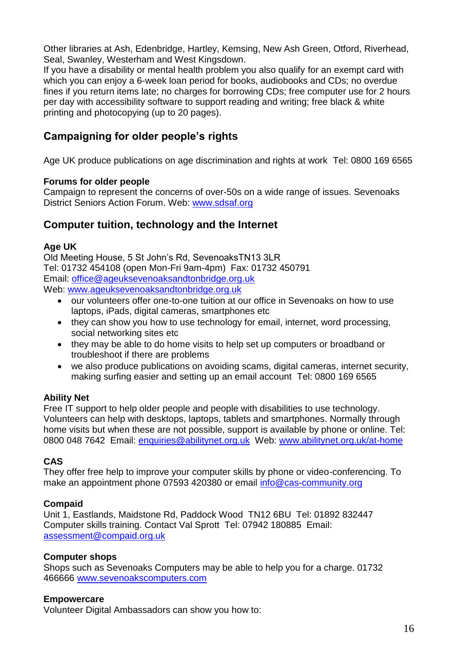Other libraries at Ash, Edenbridge, Hartley, Kemsing, New Ash Green, Otford, Riverhead, Seal, Swanley, Westerham and West Kingsdown.

If you have a disability or mental health problem you also qualify for an exempt card with which you can enjoy a 6-week loan period for books, audiobooks and CDs; no overdue fines if you return items late; no charges for borrowing CDs; free computer use for 2 hours per day with accessibility software to support reading and writing; free black & white printing and photocopying (up to 20 pages).

# <span id="page-15-0"></span>**Campaigning for older people's rights**

Age UK produce publications on age discrimination and rights at work Tel: 0800 169 6565

#### <span id="page-15-1"></span>**Forums for older people**

Campaign to represent the concerns of over-50s on a wide range of issues. Sevenoaks District Seniors Action Forum. Web: [www.sdsaf.org](http://www.sdsaf.org/)

# <span id="page-15-2"></span>**Computer tuition, technology and the Internet**

#### **Age UK**

Old Meeting House, 5 St John's Rd, SevenoaksTN13 3LR Tel: 01732 454108 (open Mon-Fri 9am-4pm) Fax: 01732 450791 Email: [office@ageuksevenoaksandtonbridge.org.uk](mailto:office@ageuksevenoaksandtonbridge.org.uk) Web: [www.ageuksevenoaksandtonbridge.org.uk](http://www.ageuksevenoaksandtonbridge.org.uk/)

- our volunteers offer one-to-one tuition at our office in Sevenoaks on how to use laptops, iPads, digital cameras, smartphones etc
- they can show you how to use technology for email, internet, word processing, social networking sites etc
- they may be able to do home visits to help set up computers or broadband or troubleshoot if there are problems
- we also produce publications on avoiding scams, digital cameras, internet security, making surfing easier and setting up an email account Tel: 0800 169 6565

#### **Ability Net**

Free IT support to help older people and people with disabilities to use technology. Volunteers can help with desktops, laptops, tablets and smartphones. Normally through home visits but when these are not possible, support is available by phone or online. Tel: 0800 048 7642 Email: [enquiries@abilitynet.org.uk](mailto:enquiries@abilitynet.org.uk) Web: [www.abilitynet.org.uk/at-home](http://www.abilitynet.org.uk/at-home)

#### **CAS**

They offer free help to improve your computer skills by phone or video-conferencing. To make an appointment phone 07593 420380 or email [info@cas-community.org](mailto:info@cas-community.org)

#### **Compaid**

Unit 1, Eastlands, Maidstone Rd, Paddock Wood TN12 6BU Tel: 01892 832447 Computer skills training. Contact Val Sprott Tel: 07942 180885 Email: [assessment@compaid.org.uk](mailto:assessment@compaid.org.uk)

#### **Computer shops**

Shops such as Sevenoaks Computers may be able to help you for a charge. 01732 466666 [www.sevenoakscomputers.com](http://www.sevenoakscomputers.com/)

#### **Empowercare**

Volunteer Digital Ambassadors can show you how to: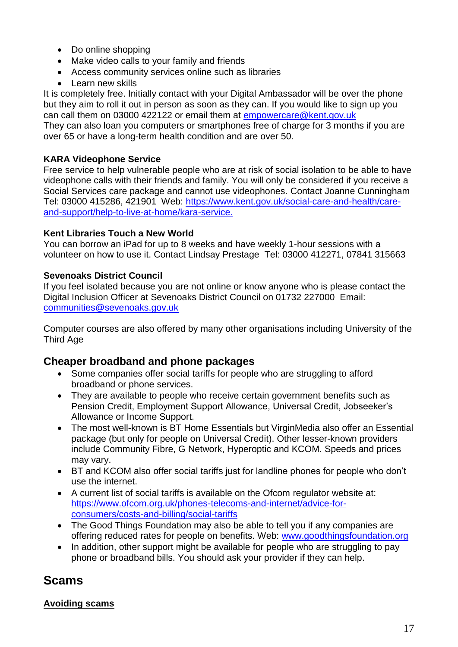- Do online shopping
- Make video calls to your family and friends
- Access community services online such as libraries
- Learn new skills

It is completely free. Initially contact with your Digital Ambassador will be over the phone but they aim to roll it out in person as soon as they can. If you would like to sign up you can call them on 03000 422122 or email them at [empowercare@kent.gov.uk](mailto:empowercare@kent.gov.uk)

They can also loan you computers or smartphones free of charge for 3 months if you are over 65 or have a long-term health condition and are over 50.

#### **KARA Videophone Service**

Free service to help vulnerable people who are at risk of social isolation to be able to have videophone calls with their friends and family. You will only be considered if you receive a Social Services care package and cannot use videophones. Contact Joanne Cunningham Tel: 03000 415286, 421901 Web: [https://www.kent.gov.uk/social-care-and-health/care](https://eur01.safelinks.protection.outlook.com/?url=https%3A%2F%2Fwww.kent.gov.uk%2Fsocial-care-and-health%2Fcare-and-support%2Fhelp-to-live-at-home%2Fkara-service&data=04%7C01%7Ckaraservice%40kent.gov.uk%7C383c9d4118d44576320208d891462704%7C3253a20dc7354bfea8b73e6ab37f5f90%7C0%7C0%7C637419077768551985%7CUnknown%7CTWFpbGZsb3d8eyJWIjoiMC4wLjAwMDAiLCJQIjoiV2luMzIiLCJBTiI6Ik1haWwiLCJXVCI6Mn0%3D%7C1000&sdata=omcUQIvhPXr3o90CMcvj2A7sVLiFBmqakfzhpUMIhQU%3D&reserved=0)[and-support/help-to-live-at-home/kara-service.](https://eur01.safelinks.protection.outlook.com/?url=https%3A%2F%2Fwww.kent.gov.uk%2Fsocial-care-and-health%2Fcare-and-support%2Fhelp-to-live-at-home%2Fkara-service&data=04%7C01%7Ckaraservice%40kent.gov.uk%7C383c9d4118d44576320208d891462704%7C3253a20dc7354bfea8b73e6ab37f5f90%7C0%7C0%7C637419077768551985%7CUnknown%7CTWFpbGZsb3d8eyJWIjoiMC4wLjAwMDAiLCJQIjoiV2luMzIiLCJBTiI6Ik1haWwiLCJXVCI6Mn0%3D%7C1000&sdata=omcUQIvhPXr3o90CMcvj2A7sVLiFBmqakfzhpUMIhQU%3D&reserved=0)

### **Kent Libraries Touch a New World**

You can borrow an iPad for up to 8 weeks and have weekly 1-hour sessions with a volunteer on how to use it. Contact Lindsay Prestage Tel: 03000 412271, 07841 315663

### **Sevenoaks District Council**

If you feel isolated because you are not online or know anyone who is please contact the Digital Inclusion Officer at Sevenoaks District Council on 01732 227000 Email: [communities@sevenoaks.gov.uk](mailto:communities@sevenoaks.gov.uk)

Computer courses are also offered by many other organisations including University of the Third Age

# <span id="page-16-0"></span>**Cheaper broadband and phone packages**

- Some companies offer social tariffs for people who are struggling to afford broadband or phone services.
- They are available to people who receive certain government benefits such as Pension Credit, Employment Support Allowance, Universal Credit, Jobseeker's Allowance or Income Support.
- The most well-known is BT Home Essentials but VirginMedia also offer an Essential package (but only for people on Universal Credit). Other lesser-known providers include Community Fibre, G Network, Hyperoptic and KCOM. Speeds and prices may vary.
- BT and KCOM also offer social tariffs just for landline phones for people who don't use the internet.
- A current list of social tariffs is available on the Ofcom regulator website at: [https://www.ofcom.org.uk/phones-telecoms-and-internet/advice-for](https://www.ofcom.org.uk/phones-telecoms-and-internet/advice-for-consumers/costs-and-billing/social-tariffs)[consumers/costs-and-billing/social-tariffs](https://www.ofcom.org.uk/phones-telecoms-and-internet/advice-for-consumers/costs-and-billing/social-tariffs)
- The Good Things Foundation may also be able to tell you if any companies are offering reduced rates for people on benefits. Web: [www.goodthingsfoundation.org](http://www.goodthingsfoundation.org/)
- In addition, other support might be available for people who are struggling to pay phone or broadband bills. You should ask your provider if they can help.

# <span id="page-16-1"></span>**Scams**

#### <span id="page-16-2"></span>**Avoiding scams**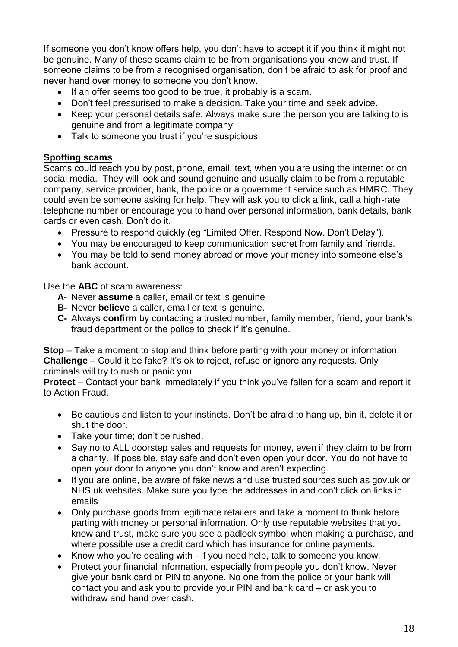If someone you don't know offers help, you don't have to accept it if you think it might not be genuine. Many of these scams claim to be from organisations you know and trust. If someone claims to be from a recognised organisation, don't be afraid to ask for proof and never hand over money to someone you don't know.

- If an offer seems too good to be true, it probably is a scam.
- Don't feel pressurised to make a decision. Take your time and seek advice.
- Keep your personal details safe. Always make sure the person you are talking to is genuine and from a legitimate company.
- Talk to someone you trust if you're suspicious.

#### <span id="page-17-0"></span>**Spotting scams**

Scams could reach you by post, phone, email, text, when you are using the internet or on social media. They will look and sound genuine and usually claim to be from a reputable company, service provider, bank, the police or a government service such as HMRC. They could even be someone asking for help. They will ask you to click a link, call a high-rate telephone number or encourage you to hand over personal information, bank details, bank cards or even cash. Don't do it.

- Pressure to respond quickly (eg "Limited Offer. Respond Now. Don't Delay").
- You may be encouraged to keep communication secret from family and friends.
- You may be told to send money abroad or move your money into someone else's bank account.

Use the **ABC** of scam awareness:

- **A-** Never **assume** a caller, email or text is genuine
- **B-** Never **believe** a caller, email or text is genuine.
- **C-** Always **confirm** by contacting a trusted number, family member, friend, your bank's fraud department or the police to check if it's genuine.

**Stop** – Take a moment to stop and think before parting with your money or information. **Challenge** – Could it be fake? It's ok to reject, refuse or ignore any requests. Only criminals will try to rush or panic you.

**Protect** – Contact your bank immediately if you think you've fallen for a scam and report it to Action Fraud.

- Be cautious and listen to your instincts. Don't be afraid to hang up, bin it, delete it or shut the door.
- Take your time; don't be rushed.
- Say no to ALL doorstep sales and requests for money, even if they claim to be from a charity. If possible, stay safe and don't even open your door. You do not have to open your door to anyone you don't know and aren't expecting.
- If you are online, be aware of fake news and use trusted sources such as gov.uk or NHS.uk websites. Make sure you type the addresses in and don't click on links in emails
- Only purchase goods from legitimate retailers and take a moment to think before parting with money or personal information. Only use reputable websites that you know and trust, make sure you see a padlock symbol when making a purchase, and where possible use a credit card which has insurance for online payments.
- Know who you're dealing with if you need help, talk to someone you know.
- Protect your financial information, especially from people you don't know. Never give your bank card or PIN to anyone. No one from the police or your bank will contact you and ask you to provide your PIN and bank card – or ask you to withdraw and hand over cash.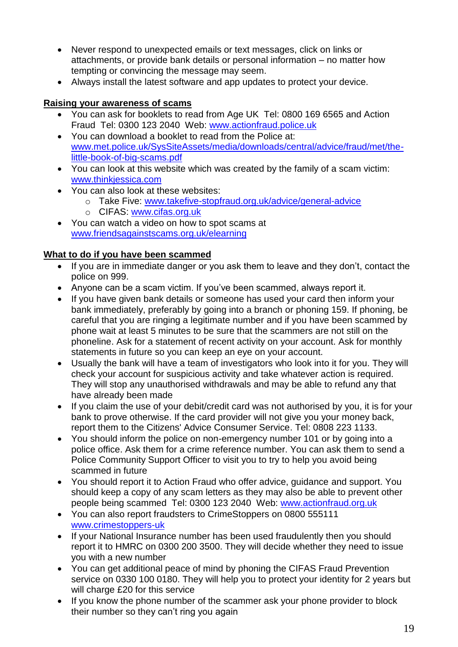- Never respond to unexpected emails or text messages, click on links or attachments, or provide bank details or personal information – no matter how tempting or convincing the message may seem.
- Always install the latest software and app updates to protect your device.

#### <span id="page-18-0"></span>**Raising your awareness of scams**

- You can ask for booklets to read from Age UK Tel: 0800 169 6565 and Action Fraud Tel: 0300 123 2040 Web: [www.actionfraud.police.uk](http://www.actionfraud.police.uk/)
- You can download a booklet to read from the Police at: [www.met.police.uk/SysSiteAssets/media/downloads/central/advice/fraud/met/the](http://www.met.police.uk/SysSiteAssets/media/downloads/central/advice/fraud/met/the-little-book-of-big-scams.pdf)[little-book-of-big-scams.pdf](http://www.met.police.uk/SysSiteAssets/media/downloads/central/advice/fraud/met/the-little-book-of-big-scams.pdf)
- You can look at this website which was created by the family of a scam victim: [www.thinkjessica.com](http://www.thinkjessica.com/)
- You can also look at these websites:
	- o Take Five: [www.takefive-stopfraud.org.uk/advice/general-advice](http://www.takefive-stopfraud.org.uk/advice/general-advice)
	- o CIFAS: [www.cifas.org.uk](http://www.cifas.org.uk/)
- You can watch a video on how to spot scams at [www.friendsagainstscams.org.uk/elearning](http://www.friendsagainstscams.org.uk/elearning)

### <span id="page-18-1"></span>**What to do if you have been scammed**

- If you are in immediate danger or you ask them to leave and they don't, contact the police on 999.
- Anyone can be a scam victim. If you've been scammed, always report it.
- If you have given bank details or someone has used your card then inform your bank immediately, preferably by going into a branch or phoning 159. If phoning, be careful that you are ringing a legitimate number and if you have been scammed by phone wait at least 5 minutes to be sure that the scammers are not still on the phoneline. Ask for a statement of recent activity on your account. Ask for monthly statements in future so you can keep an eye on your account.
- Usually the bank will have a team of investigators who look into it for you. They will check your account for suspicious activity and take whatever action is required. They will stop any unauthorised withdrawals and may be able to refund any that have already been made
- If you claim the use of your debit/credit card was not authorised by you, it is for your bank to prove otherwise. If the card provider will not give you your money back, report them to the Citizens' Advice Consumer Service. Tel: 0808 223 1133.
- You should inform the police on non-emergency number 101 or by going into a police office. Ask them for a crime reference number. You can ask them to send a Police Community Support Officer to visit you to try to help you avoid being scammed in future
- You should report it to Action Fraud who offer advice, guidance and support. You should keep a copy of any scam letters as they may also be able to prevent other people being scammed Tel: 0300 123 2040 Web: [www.actionfraud.org.uk](http://www.actionfraud.org.uk/)
- You can also report fraudsters to CrimeStoppers on 0800 555111 www.crimestoppers-uk
- If your National Insurance number has been used fraudulently then you should report it to HMRC on 0300 200 3500. They will decide whether they need to issue you with a new number
- You can get additional peace of mind by phoning the CIFAS Fraud Prevention service on 0330 100 0180. They will help you to protect your identity for 2 years but will charge £20 for this service
- If you know the phone number of the scammer ask your phone provider to block their number so they can't ring you again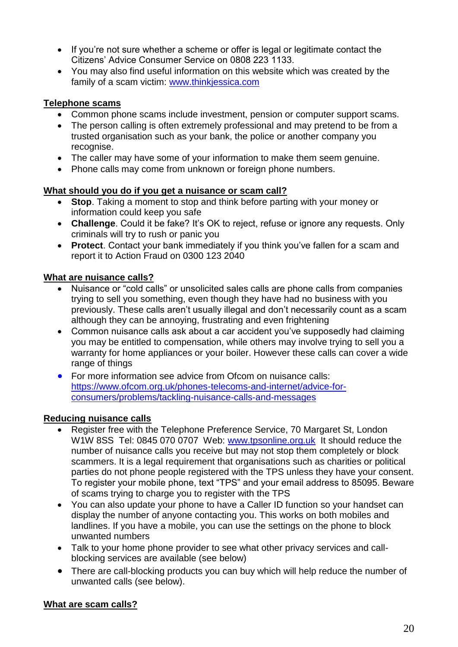- If you're not sure whether a scheme or offer is legal or legitimate contact the Citizens' Advice Consumer Service on 0808 223 1133.
- You may also find useful information on this website which was created by the family of a scam victim: www.thinkjessica.com

## <span id="page-19-0"></span>**Telephone scams**

- Common phone scams include investment, pension or computer support scams.
- The person calling is often extremely professional and may pretend to be from a trusted organisation such as your bank, the police or another company you recognise.
- The caller may have some of your information to make them seem genuine.
- Phone calls may come from unknown or foreign phone numbers.

### <span id="page-19-1"></span>**What should you do if you get a nuisance or scam call?**

- **Stop**. Taking a moment to stop and think before parting with your money or information could keep you safe
- **Challenge**. Could it be fake? It's OK to reject, refuse or ignore any requests. Only criminals will try to rush or panic you
- **Protect**. Contact your bank immediately if you think you've fallen for a scam and report it to Action Fraud on 0300 123 2040

### <span id="page-19-2"></span>**What are nuisance calls?**

- Nuisance or "cold calls" or unsolicited sales calls are phone calls from companies trying to sell you something, even though they have had no business with you previously. These calls aren't usually illegal and don't necessarily count as a scam although they can be annoying, frustrating and even frightening
- Common nuisance calls ask about a car accident you've supposedly had claiming you may be entitled to compensation, while others may involve trying to sell you a warranty for home appliances or your boiler. However these calls can cover a wide range of things
- For more information see advice from Ofcom on nuisance calls: [https://www.ofcom.org.uk/phones-telecoms-and-internet/advice-for](https://www.ofcom.org.uk/phones-telecoms-and-internet/advice-for-consumers/problems/tackling-nuisance-calls-and-messages)[consumers/problems/tackling-nuisance-calls-and-messages](https://www.ofcom.org.uk/phones-telecoms-and-internet/advice-for-consumers/problems/tackling-nuisance-calls-and-messages)

# <span id="page-19-3"></span>**Reducing nuisance calls**

- Register free with the Telephone Preference Service, 70 Margaret St, London W1W 8SS Tel: 0845 070 0707 Web: [www.tpsonline.org.uk](http://www.tpsonline.org.uk/) It should reduce the number of nuisance calls you receive but may not stop them completely or block scammers. It is a legal requirement that organisations such as charities or political parties do not phone people registered with the TPS unless they have your consent. To register your mobile phone, text "TPS" and your email address to 85095. Beware of scams trying to charge you to register with the TPS
- You can also update your phone to have a Caller ID function so your handset can display the number of anyone contacting you. This works on both mobiles and landlines. If you have a mobile, you can use the settings on the phone to block unwanted numbers
- Talk to your home phone provider to see what other privacy services and callblocking services are available (see below)
- There are call-blocking products you can buy which will help reduce the number of unwanted calls (see below).

#### <span id="page-19-4"></span>**What are scam calls?**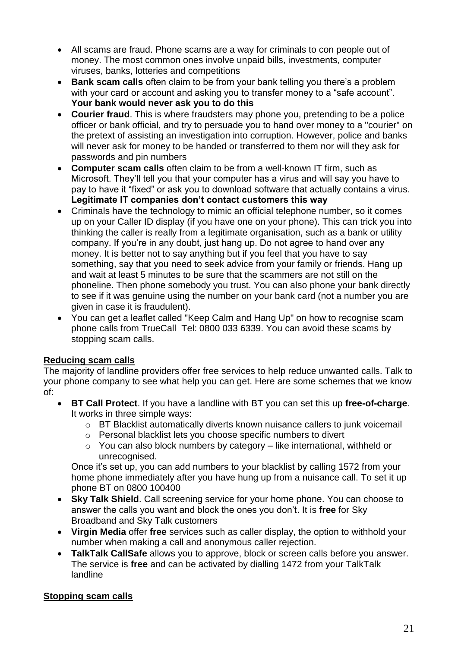- All scams are fraud. Phone scams are a way for criminals to con people out of money. The most common ones involve unpaid bills, investments, computer viruses, banks, lotteries and competitions
- **Bank scam calls** often claim to be from your bank telling you there's a problem with your card or account and asking you to transfer money to a "safe account". **Your bank would never ask you to do this**
- **Courier fraud**. This is where fraudsters may phone you, pretending to be a police officer or bank official, and try to persuade you to hand over money to a "courier" on the pretext of assisting an investigation into corruption. However, police and banks will never ask for money to be handed or transferred to them nor will they ask for passwords and pin numbers
- **Computer scam calls** often claim to be from a well-known IT firm, such as Microsoft. They'll tell you that your computer has a virus and will say you have to pay to have it "fixed" or ask you to download software that actually contains a virus. **Legitimate IT companies don't contact customers this way**
- Criminals have the technology to mimic an official telephone number, so it comes up on your Caller ID display (if you have one on your phone). This can trick you into thinking the caller is really from a legitimate organisation, such as a bank or utility company. If you're in any doubt, just hang up. Do not agree to hand over any money. It is better not to say anything but if you feel that you have to say something, say that you need to seek advice from your family or friends. Hang up and wait at least 5 minutes to be sure that the scammers are not still on the phoneline. Then phone somebody you trust. You can also phone your bank directly to see if it was genuine using the number on your bank card (not a number you are given in case it is fraudulent).
- You can get a leaflet called "Keep Calm and Hang Up" on how to recognise scam phone calls from TrueCall Tel: 0800 033 6339. You can avoid these scams by stopping scam calls.

#### <span id="page-20-0"></span>**Reducing scam calls**

The majority of landline providers offer free services to help reduce unwanted calls. Talk to your phone company to see what help you can get. Here are some schemes that we know of:

- **BT Call Protect**. If you have a landline with BT you can set this up **free-of-charge**. It works in three simple ways:
	- o BT Blacklist automatically diverts known nuisance callers to junk voicemail
	- o Personal blacklist lets you choose specific numbers to divert
	- $\circ$  You can also block numbers by category like international, withheld or unrecognised.

Once it's set up, you can add numbers to your blacklist by calling 1572 from your home phone immediately after you have hung up from a nuisance call. To set it up phone BT on 0800 100400

- **Sky Talk Shield**. Call screening service for your home phone. You can choose to answer the calls you want and block the ones you don't. It is **free** for Sky Broadband and Sky Talk customers
- **Virgin Media** offer **free** services such as caller display, the option to withhold your number when making a call and anonymous caller rejection.
- **TalkTalk CallSafe** allows you to approve, block or screen calls before you answer. The service is **free** and can be activated by dialling 1472 from your TalkTalk landline

#### <span id="page-20-1"></span>**Stopping scam calls**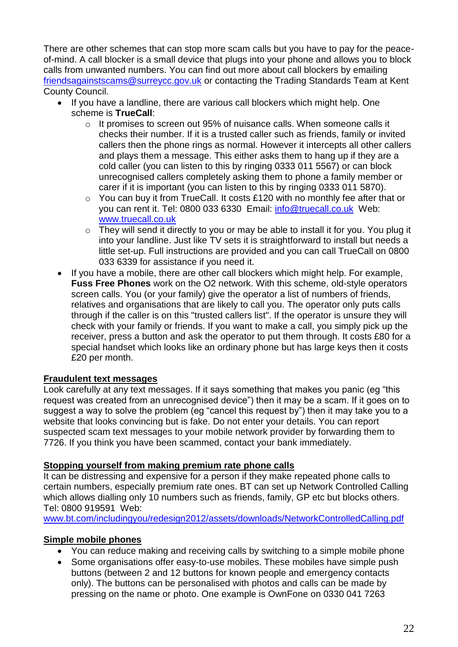There are other schemes that can stop more scam calls but you have to pay for the peaceof-mind. A call blocker is a small device that plugs into your phone and allows you to block calls from unwanted numbers. You can find out more about call blockers by emailing [friendsagainstscams@surreycc.gov.uk](mailto:friendsagainstscams@surreycc.gov.uk) or contacting the Trading Standards Team at Kent County Council.

- If you have a landline, there are various call blockers which might help. One scheme is **TrueCall**:
	- o It promises to screen out 95% of nuisance calls. When someone calls it checks their number. If it is a trusted caller such as friends, family or invited callers then the phone rings as normal. However it intercepts all other callers and plays them a message. This either asks them to hang up if they are a cold caller (you can listen to this by ringing 0333 011 5567) or can block unrecognised callers completely asking them to phone a family member or carer if it is important (you can listen to this by ringing 0333 011 5870).
	- o You can buy it from TrueCall. It costs £120 with no monthly fee after that or you can rent it. Tel: 0800 033 6330 Email: info@truecall.co.uk Web: [www.truecall.co.uk](http://www.truecall.co.uk/)
	- o They will send it directly to you or may be able to install it for you. You plug it into your landline. Just like TV sets it is straightforward to install but needs a little set-up. Full instructions are provided and you can call TrueCall on 0800 033 6339 for assistance if you need it.
- If you have a mobile, there are other call blockers which might help. For example, **Fuss Free Phones** work on the O2 network. With this scheme, old-style operators screen calls. You (or your family) give the operator a list of numbers of friends, relatives and organisations that are likely to call you. The operator only puts calls through if the caller is on this "trusted callers list". If the operator is unsure they will check with your family or friends. If you want to make a call, you simply pick up the receiver, press a button and ask the operator to put them through. It costs £80 for a special handset which looks like an ordinary phone but has large keys then it costs £20 per month.

#### <span id="page-21-0"></span>**Fraudulent text messages**

Look carefully at any text messages. If it says something that makes you panic (eg "this request was created from an unrecognised device") then it may be a scam. If it goes on to suggest a way to solve the problem (eg "cancel this request by") then it may take you to a website that looks convincing but is fake. Do not enter your details. You can report suspected scam text messages to your mobile network provider by forwarding them to 7726. If you think you have been scammed, contact your bank immediately.

#### <span id="page-21-1"></span>**Stopping yourself from making premium rate phone calls**

It can be distressing and expensive for a person if they make repeated phone calls to certain numbers, especially premium rate ones. BT can set up Network Controlled Calling which allows dialling only 10 numbers such as friends, family, GP etc but blocks others. Tel: 0800 919591 Web:

[www.bt.com/includingyou/redesign2012/assets/downloads/NetworkControlledCalling.pdf](http://www.bt.com/includingyou/redesign2012/assets/downloads/NetworkControlledCalling.pdf)

# <span id="page-21-2"></span>**Simple mobile phones**

- You can reduce making and receiving calls by switching to a simple mobile phone
- Some organisations offer easy-to-use mobiles. These mobiles have simple push buttons (between 2 and 12 buttons for known people and emergency contacts only). The buttons can be personalised with photos and calls can be made by pressing on the name or photo. One example is OwnFone on 0330 041 7263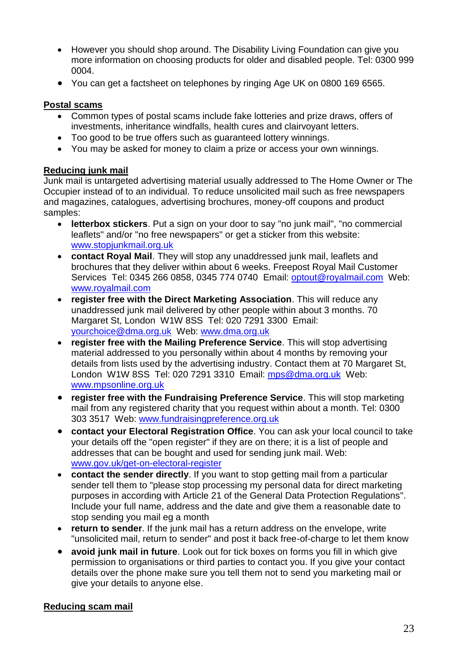- However you should shop around. The Disability Living Foundation can give you more information on choosing products for older and disabled people. Tel: 0300 999 0004.
- You can get a factsheet on telephones by ringing Age UK on 0800 169 6565.

#### <span id="page-22-0"></span>**Postal scams**

- Common types of postal scams include fake lotteries and prize draws, offers of investments, inheritance windfalls, health cures and clairvoyant letters.
- Too good to be true offers such as guaranteed lottery winnings.
- You may be asked for money to claim a prize or access your own winnings.

### <span id="page-22-1"></span>**Reducing junk mail**

Junk mail is untargeted advertising material usually addressed to The Home Owner or The Occupier instead of to an individual. To reduce unsolicited mail such as free newspapers and magazines, catalogues, advertising brochures, money-off coupons and product samples:

- **letterbox stickers**. Put a sign on your door to say "no junk mail", "no commercial leaflets" and/or "no free newspapers" or get a sticker from this website: www.stopjunkmail.org.uk
- **contact Royal Mail**. They will stop any unaddressed junk mail, leaflets and brochures that they deliver within about 6 weeks. Freepost Royal Mail Customer Services Tel: 0345 266 0858, 0345 774 0740 Email: optout@royalmail.com Web: www.royalmail.com
- **register free with the Direct Marketing Association**. This will reduce any unaddressed junk mail delivered by other people within about 3 months. 70 Margaret St, London W1W 8SS Tel: 020 7291 3300 Email: yourchoice@dma.org.uk Web: www.dma.org.uk
- **register free with the Mailing Preference Service**. This will stop advertising material addressed to you personally within about 4 months by removing your details from lists used by the advertising industry. Contact them at 70 Margaret St, London W1W 8SS Tel: 020 7291 3310 Email: mps@dma.org.uk Web: [www.mpsonline.org.uk](http://www.mpsonline.org.uk/)
- **register free with the Fundraising Preference Service**. This will stop marketing mail from any registered charity that you request within about a month. Tel: 0300 303 3517 Web: www.fundraisingpreference.org.uk
- **contact your Electoral Registration Office**. You can ask your local council to take your details off the "open register" if they are on there; it is a list of people and addresses that can be bought and used for sending junk mail. Web: www.gov.uk/get-on-electoral-register
- **contact the sender directly**. If you want to stop getting mail from a particular sender tell them to "please stop processing my personal data for direct marketing purposes in according with Article 21 of the General Data Protection Regulations". Include your full name, address and the date and give them a reasonable date to stop sending you mail eg a month
- **return to sender**. If the junk mail has a return address on the envelope, write "unsolicited mail, return to sender" and post it back free-of-charge to let them know
- **avoid junk mail in future**. Look out for tick boxes on forms you fill in which give permission to organisations or third parties to contact you. If you give your contact details over the phone make sure you tell them not to send you marketing mail or give your details to anyone else.

#### <span id="page-22-2"></span>**Reducing scam mail**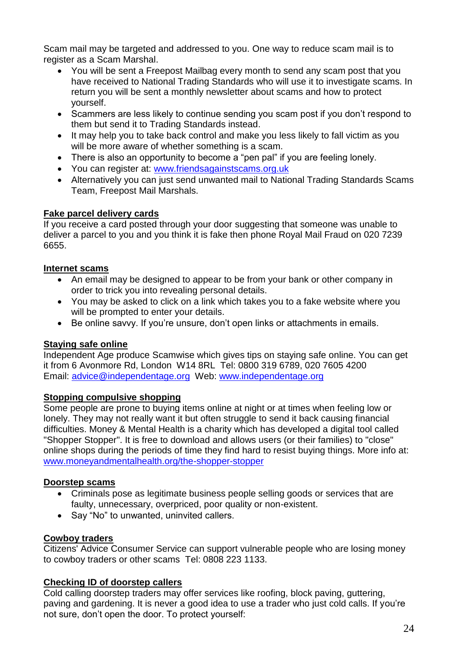Scam mail may be targeted and addressed to you. One way to reduce scam mail is to register as a Scam Marshal.

- You will be sent a Freepost Mailbag every month to send any scam post that you have received to National Trading Standards who will use it to investigate scams. In return you will be sent a monthly newsletter about scams and how to protect yourself.
- Scammers are less likely to continue sending you scam post if you don't respond to them but send it to Trading Standards instead.
- It may help you to take back control and make you less likely to fall victim as you will be more aware of whether something is a scam.
- There is also an opportunity to become a "pen pal" if you are feeling lonely.
- You can register at: [www.friendsagainstscams.org.uk](http://www.friendsagainstscams.org.uk/)
- Alternatively you can just send unwanted mail to National Trading Standards Scams Team, Freepost Mail Marshals.

### <span id="page-23-0"></span>**Fake parcel delivery cards**

If you receive a card posted through your door suggesting that someone was unable to deliver a parcel to you and you think it is fake then phone Royal Mail Fraud on 020 7239 6655.

#### <span id="page-23-1"></span>**Internet scams**

- An email may be designed to appear to be from your bank or other company in order to trick you into revealing personal details.
- You may be asked to click on a link which takes you to a fake website where you will be prompted to enter your details.
- Be online savvy. If you're unsure, don't open links or attachments in emails.

# <span id="page-23-2"></span>**Staying safe online**

Independent Age produce Scamwise which gives tips on staying safe online. You can get it from 6 Avonmore Rd, London W14 8RL Tel: 0800 319 6789, 020 7605 4200 Email: [advice@independentage.org](mailto:advice@independentage.org) Web: [www.independentage.org](http://www.independentage.org/)

#### <span id="page-23-3"></span>**Stopping compulsive shopping**

Some people are prone to buying items online at night or at times when feeling low or lonely. They may not really want it but often struggle to send it back causing financial difficulties. Money & Mental Health is a charity which has developed a digital tool called "Shopper Stopper". It is free to download and allows users (or their families) to "close" online shops during the periods of time they find hard to resist buying things. More info at: [www.moneyandmentalhealth.org/the-shopper-stopper](http://www.moneyandmentalhealth.org/the-shopper-stopper)

# <span id="page-23-4"></span>**Doorstep scams**

- Criminals pose as legitimate business people selling goods or services that are faulty, unnecessary, overpriced, poor quality or non-existent.
- Say "No" to unwanted, uninvited callers.

# <span id="page-23-5"></span>**Cowboy traders**

Citizens' Advice Consumer Service can support vulnerable people who are losing money to cowboy traders or other scams Tel: 0808 223 1133.

# <span id="page-23-6"></span>**Checking ID of doorstep callers**

Cold calling doorstep traders may offer services like roofing, block paving, guttering, paving and gardening. It is never a good idea to use a trader who just cold calls. If you're not sure, don't open the door. To protect yourself: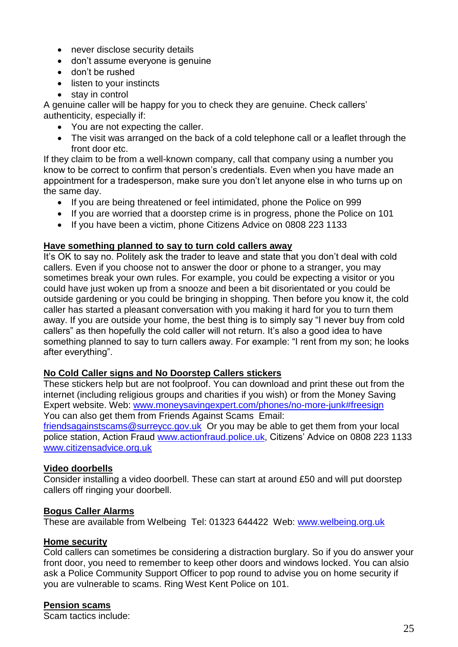- never disclose security details
- don't assume everyone is genuine
- don't be rushed
- listen to your instincts
- stay in control

A genuine caller will be happy for you to check they are genuine. Check callers' authenticity, especially if:

- You are not expecting the caller.
- The visit was arranged on the back of a cold telephone call or a leaflet through the front door etc.

If they claim to be from a well-known company, call that company using a number you know to be correct to confirm that person's credentials. Even when you have made an appointment for a tradesperson, make sure you don't let anyone else in who turns up on the same day.

- If you are being threatened or feel intimidated, phone the Police on 999
- If you are worried that a doorstep crime is in progress, phone the Police on 101
- If you have been a victim, phone Citizens Advice on 0808 223 1133

#### <span id="page-24-0"></span>**Have something planned to say to turn cold callers away**

It's OK to say no. Politely ask the trader to leave and state that you don't deal with cold callers. Even if you choose not to answer the door or phone to a stranger, you may sometimes break your own rules. For example, you could be expecting a visitor or you could have just woken up from a snooze and been a bit disorientated or you could be outside gardening or you could be bringing in shopping. Then before you know it, the cold caller has started a pleasant conversation with you making it hard for you to turn them away. If you are outside your home, the best thing is to simply say "I never buy from cold callers" as then hopefully the cold caller will not return. It's also a good idea to have something planned to say to turn callers away. For example: "I rent from my son; he looks after everything".

#### <span id="page-24-1"></span>**No Cold Caller signs and No Doorstep Callers stickers**

These stickers help but are not foolproof. You can download and print these out from the internet (including religious groups and charities if you wish) or from the Money Saving Expert website. Web: [www.moneysavingexpert.com/phones/no-more-junk#freesign](http://www.moneysavingexpert.com/phones/no-more-junk#freesign) You can also get them from Friends Against Scams Email: [friendsagainstscams@surreycc.gov.uk](mailto:friendsagainstscams@surreycc.gov.uk) Or you may be able to get them from your local police station, Action Fraud [www.actionfraud.police.uk,](http://www.actionfraud.police.uk/) Citizens' Advice on 0808 223 1133 [www.citizensadvice.org.uk](http://www.citizensadvice.org.uk/)

#### <span id="page-24-2"></span>**Video doorbells**

Consider installing a video doorbell. These can start at around £50 and will put doorstep callers off ringing your doorbell.

#### <span id="page-24-3"></span>**Bogus Caller Alarms**

These are available from Welbeing Tel: 01323 644422 Web: [www.welbeing.org.uk](http://www.welbeing.org.uk/)

#### <span id="page-24-4"></span>**Home security**

Cold callers can sometimes be considering a distraction burglary. So if you do answer your front door, you need to remember to keep other doors and windows locked. You can alsio ask a Police Community Support Officer to pop round to advise you on home security if you are vulnerable to scams. Ring West Kent Police on 101.

#### <span id="page-24-5"></span>**Pension scams**

Scam tactics include: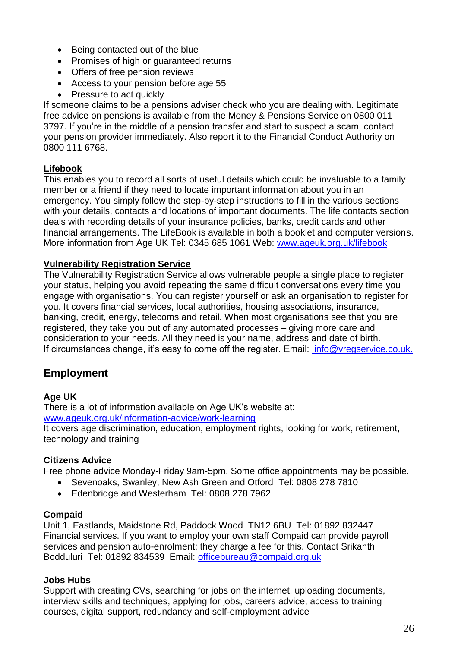- Being contacted out of the blue
- Promises of high or guaranteed returns
- Offers of free pension reviews
- Access to your pension before age 55
- Pressure to act quickly

If someone claims to be a pensions adviser check who you are dealing with. Legitimate free advice on pensions is available from the Money & Pensions Service on 0800 011 3797. If you're in the middle of a pension transfer and start to suspect a scam, contact your pension provider immediately. Also report it to the Financial Conduct Authority on 0800 111 6768.

### <span id="page-25-0"></span>**Lifebook**

This enables you to record all sorts of useful details which could be invaluable to a family member or a friend if they need to locate important information about you in an emergency. You simply follow the step-by-step instructions to fill in the various sections with your details, contacts and locations of important documents. The life contacts section deals with recording details of your insurance policies, banks, credit cards and other financial arrangements. The LifeBook is available in both a booklet and computer versions. More information from Age UK Tel: 0345 685 1061 Web: [www.ageuk.org.uk/lifebook](http://www.ageuk.org.uk/lifebook)

#### <span id="page-25-1"></span>**Vulnerability Registration Service**

The Vulnerability Registration Service allows vulnerable people a single place to register your status, helping you avoid repeating the same difficult conversations every time you engage with organisations. You can register yourself or ask an organisation to register for you. It covers financial services, local authorities, housing associations, insurance, banking, credit, energy, telecoms and retail. When most organisations see that you are registered, they take you out of any automated processes – giving more care and consideration to your needs. All they need is your name, address and date of birth. If circumstances change, it's easy to come off the register. Email: [info@vregservice.co.uk](mailto:info@vregservice.co.uk).

# <span id="page-25-2"></span>**Employment**

#### **Age UK**

There is a lot of information available on Age UK's website at: [www.ageuk.org.uk/information-advice/work-learning](http://www.ageuk.org.uk/information-advice/work-learning) It covers age discrimination, education, employment rights, looking for work, retirement, technology and training

#### **Citizens Advice**

Free phone advice Monday-Friday 9am-5pm. Some office appointments may be possible.

- Sevenoaks, Swanley, New Ash Green and Otford Tel: 0808 278 7810
- Edenbridge and Westerham Tel: 0808 278 7962

#### **Compaid**

Unit 1, Eastlands, Maidstone Rd, Paddock Wood TN12 6BU Tel: 01892 832447 Financial services. If you want to employ your own staff Compaid can provide payroll services and pension auto-enrolment; they charge a fee for this. Contact Srikanth Bodduluri Tel: 01892 834539 Email: [officebureau@compaid.org.uk](mailto:officebureau@compaid.org.uk)

#### **Jobs Hubs**

Support with creating CVs, searching for jobs on the internet, uploading documents, interview skills and techniques, applying for jobs, careers advice, access to training courses, digital support, redundancy and self-employment advice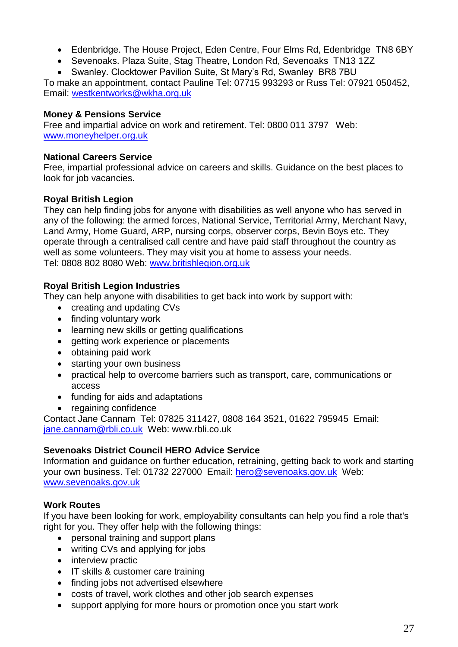- Edenbridge. The House Project, Eden Centre, Four Elms Rd, Edenbridge TN8 6BY
- Sevenoaks. Plaza Suite, Stag Theatre, London Rd, Sevenoaks TN13 1ZZ
- Swanley. Clocktower Pavilion Suite, St Mary's Rd, Swanley BR8 7BU

To make an appointment, contact Pauline Tel: 07715 993293 or Russ Tel: 07921 050452, Email: [westkentworks@wkha.org.uk](mailto:westkentworks@wkha.org.uk)

#### **Money & Pensions Service**

Free and impartial advice on work and retirement. Tel: 0800 011 3797 Web: [www.moneyhelper.org.uk](http://www.moneyhelper.org.uk/)

#### **National Careers Service**

Free, impartial professional advice on careers and skills. Guidance on the best places to look for job vacancies.

#### **Royal British Legion**

They can help finding jobs for anyone with disabilities as well anyone who has served in any of the following: the armed forces, National Service, Territorial Army, Merchant Navy, Land Army, Home Guard, ARP, nursing corps, observer corps, Bevin Boys etc. They operate through a centralised call centre and have paid staff throughout the country as well as some volunteers. They may visit you at home to assess your needs. Tel: 0808 802 8080 Web: [www.britishlegion.org.uk](http://www.britishlegion.org.uk/)

#### **Royal British Legion Industries**

They can help anyone with disabilities to get back into work by support with:

- creating and updating CVs
- finding voluntary work
- learning new skills or getting qualifications
- getting work experience or placements
- obtaining paid work
- starting your own business
- practical help to overcome barriers such as transport, care, communications or access
- funding for aids and adaptations
- regaining confidence

Contact Jane Cannam Tel: 07825 311427, 0808 164 3521, 01622 795945 Email: [jane.cannam@rbli.co.uk](mailto:jane.cannam@rbli.co.uk) Web: www.rbli.co.uk

#### **Sevenoaks District Council HERO Advice Service**

Information and guidance on further education, retraining, getting back to work and starting your own business. Tel: 01732 227000 Email: [hero@sevenoaks.gov.uk](mailto:hero@sevenoaks.gov.uk) Web: [www.sevenoaks.gov.uk](http://www.sevenoaks.gov.uk/)

#### **Work Routes**

If you have been looking for work, employability consultants can help you find a role that's right for you. They offer help with the following things:

- personal training and support plans
- writing CVs and applying for jobs
- interview practic
- IT skills & customer care training
- finding jobs not advertised elsewhere
- costs of travel, work clothes and other job search expenses
- support applying for more hours or promotion once you start work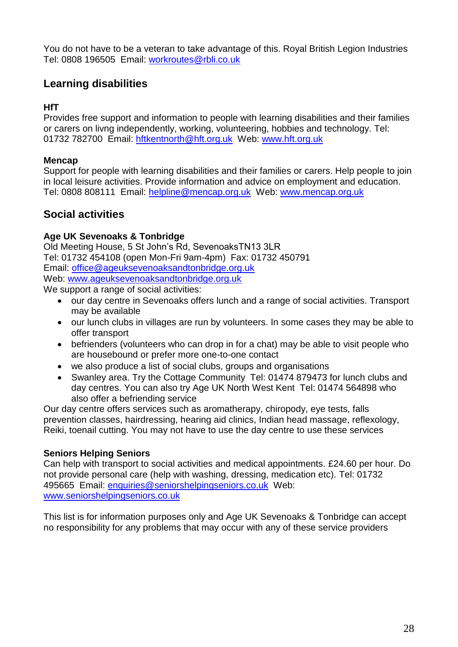You do not have to be a veteran to take advantage of this. Royal British Legion Industries Tel: 0808 196505 Email: workroutes@rbli.co.uk

# <span id="page-27-0"></span>**Learning disabilities**

### **HfT**

Provides free support and information to people with learning disabilities and their families or carers on livng independently, working, volunteering, hobbies and technology. Tel: 01732 782700 Email: hftkentnorth@hft.org.uk Web: www.hft.org.uk

## **Mencap**

Support for people with learning disabilities and their families or carers. Help people to join in local leisure activities. Provide information and advice on employment and education. Tel: 0808 808111 Email: helpline@mencap.org.uk Web: www.mencap.org.uk

# <span id="page-27-1"></span>**Social activities**

### **Age UK Sevenoaks & Tonbridge**

Old Meeting House, 5 St John's Rd, SevenoaksTN13 3LR Tel: 01732 454108 (open Mon-Fri 9am-4pm) Fax: 01732 450791 Email: [office@ageuksevenoaksandtonbridge.org.uk](mailto:office@ageuksevenoaksandtonbridge.org.uk) Web: [www.ageuksevenoaksandtonbridge.org.uk](http://www.ageuksevenoaksandtonbridge.org.uk/) We support a range of social activities:

- our day centre in Sevenoaks offers lunch and a range of social activities. Transport may be available
- our lunch clubs in villages are run by volunteers. In some cases they may be able to offer transport
- befrienders (volunteers who can drop in for a chat) may be able to visit people who are housebound or prefer more one-to-one contact
- we also produce a list of social clubs, groups and organisations
- Swanley area. Try the Cottage Community Tel: 01474 879473 for lunch clubs and day centres. You can also try Age UK North West Kent Tel: 01474 564898 who also offer a befriending service

Our day centre offers services such as aromatherapy, chiropody, eye tests, falls prevention classes, hairdressing, hearing aid clinics, Indian head massage, reflexology, Reiki, toenail cutting. You may not have to use the day centre to use these services

#### **Seniors Helping Seniors**

Can help with transport to social activities and medical appointments. £24.60 per hour. Do not provide personal care (help with washing, dressing, medication etc). Tel: 01732 495665 Email: enquiries@seniorshelpingseniors.co.uk Web: www.seniorshelpingseniors.co.uk

This list is for information purposes only and Age UK Sevenoaks & Tonbridge can accept no responsibility for any problems that may occur with any of these service providers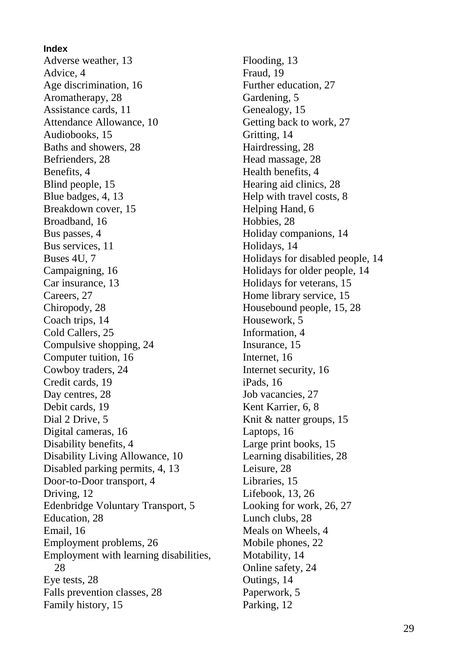**Index** Adverse weather, 13 Advice, 4 Age discrimination, 16 Aromatherapy, 28 Assistance cards, 11 Attendance Allowance, 10 Audiobooks, 15 Baths and showers, 28 Befrienders, 28 Benefits, 4 Blind people, 15 Blue badges, 4, 13 Breakdown cover, 15 Broadband, 16 Bus passes, 4 Bus services, 11 Buses 4U, 7 Campaigning, 16 Car insurance, 13 Careers, 27 Chiropody, 28 Coach trips, 14 Cold Callers, 25 Compulsive shopping, 24 Computer tuition, 16 Cowboy traders, 24 Credit cards, 19 Day centres, 28 Debit cards, 19 Dial 2 Drive, 5 Digital cameras, 16 Disability benefits, 4 Disability Living Allowance, 10 Disabled parking permits, 4, 13 Door-to-Door transport, 4 Driving, 12 Edenbridge Voluntary Transport, 5 Education, 28 Email, 16 Employment problems, 26 Employment with learning disabilities, 28 Eye tests, 28 Falls prevention classes, 28 Family history, 15

Flooding, 13 Fraud, 19 Further education, 27 Gardening, 5 Genealogy, 15 Getting back to work, 27 Gritting, 14 Hairdressing, 28 Head massage, 28 Health benefits, 4 Hearing aid clinics, 28 Help with travel costs, 8 Helping Hand, 6 Hobbies, 28 Holiday companions, 14 Holidays, 14 Holidays for disabled people, 14 Holidays for older people, 14 Holidays for veterans, 15 Home library service, 15 Housebound people, 15, 28 Housework, 5 Information, 4 Insurance, 15 Internet, 16 Internet security, 16 iPads, 16 Job vacancies, 27 Kent Karrier, 6, 8 Knit & natter groups, 15 Laptops, 16 Large print books, 15 Learning disabilities, 28 Leisure, 28 Libraries, 15 Lifebook, 13, 26 Looking for work, 26, 27 Lunch clubs, 28 Meals on Wheels, 4 Mobile phones, 22 Motability, 14 Online safety, 24 Outings, 14 Paperwork, 5 Parking, 12